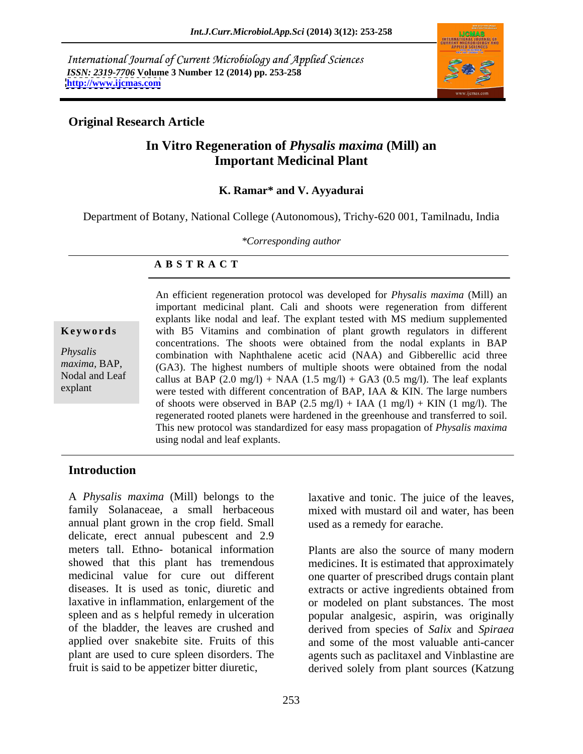International Journal of Current Microbiology and Applied Sciences *ISSN: 2319-7706* **Volume 3 Number 12 (2014) pp. 253-258 <http://www.ijcmas.com>**



## **Original Research Article**

## **In Vitro Regeneration of** *Physalis maxima* **(Mill) an Important Medicinal Plant**

### **K. Ramar\* and V. Ayyadurai**

Department of Botany, National College (Autonomous), Trichy-620 001, Tamilnadu, India

*\*Corresponding author* 

### **A B S T R A C T**

**Keywords** with B5 Vitamins and combination of plant growth regulators in different *Physalis*  combination with Naphthalene acetic acid (NAA) and Gibberellic acid three *maxima,* BAP, (GA3). The highest numbers of multiple shoots were obtained from the nodal Nodal and Leaf callus at BAP  $(2.0 \text{ mg/l})$  + NAA  $(1.5 \text{ mg/l})$  + GA3  $(0.5 \text{ mg/l})$ . The leaf explants explant were tested with different concentration of BAP, IAA & KIN. The large numbers An efficient regeneration protocol was developed for *Physalis maxima* (Mill) an important medicinal plant. Cali and shoots were regeneration from different explants like nodal and leaf. The explant tested with MS medium supplemented concentrations. The shoots were obtained from the nodal explants in BAP of shoots were observed in BAP (2.5 mg/l) + IAA (1 mg/l) + KIN (1 mg/l). The regenerated rooted planets were hardened in the greenhouse and transferred to soil. This new protocol was standardized for easy mass propagation of *Physalis maxima* using nodal and leaf explants.

## **Introduction**

family Solanaceae, a small herbaceous mixed with mustard oil and water, has been annual plant grown in the crop field. Small delicate, erect annual pubescent and 2.9 meters tall. Ethno- botanical information Plants are also the source of many modern showed that this plant has tremendous medicines. It is estimated that approximately medicinal value for cure out different one quarter of prescribed drugs contain plant diseases. It is used as tonic, diuretic and extracts or active ingredients obtained from laxative in inflammation, enlargement of the spleen and as s helpful remedy in ulceration popular analgesic, aspirin, was originally of the bladder, the leaves are crushed and derived from species of *Salix*and *Spiraea* applied over snakebite site. Fruits of this plant are used to cure spleen disorders. The agents such as paclitaxel and Vinblastine are

A *Physalis maxima* (Mill) belongs to the laxative and tonic. The juice of the leaves, used as a remedy for earache.

fruit is said to be appetizer bitter diuretic, derived solely from plant sources (Katzung or modeled on plant substances. The most and some of the most valuable anti-cancer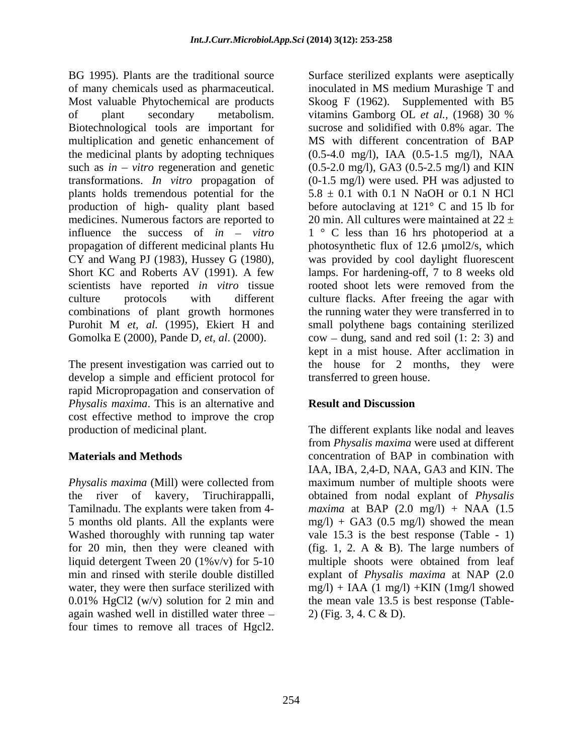BG 1995). Plants are the traditional source Surface sterilized explants were aseptically of many chemicals used as pharmaceutical. inoculated in MS medium Murashige T and Most valuable Phytochemical are products Skoog F (1962). Supplemented with B5 of plant secondary metabolism. vitamins Gamborg OL et al., (1968) 30 % Biotechnological tools are important for sucrose and solidified with 0.8% agar. The multiplication and genetic enhancement of the medicinal plants by adopting techniques (0.5-4.0 mg/l), IAA (0.5-1.5 mg/l), NAA such as  $in - vitro$  regeneration and genetic  $(0.5{\text -}2.0 \text{ mg/l})$ , GA3  $(0.5{\text -}2.5 \text{ mg/l})$  and KIN transformations. *In vitro* propagation of (0-1.5 mg/l) were used. PH was adjusted to plants holds tremendous potential for the  $5.8 \pm 0.1$  with 0.1 N NaOH or 0.1 N HCl production of high- quality plant based before autoclaving at 121° C and 15 lb for medicines. Numerous factors are reported to  $\qquad 20 \text{ min}$ . All cultures were maintained at  $22 \pm$ influence the success of *in – vitro* propagation of different medicinal plants Hu bhotosynthetic flux of 12.6  $\mu$ mol2/s, which CY and Wang PJ (1983), Hussey G (1980), was provided by cool daylight fluorescent Short KC and Roberts AV (1991). A few lamps. For hardening-off, 7 to 8 weeks old scientists have reported *in vitro* tissue rooted shoot lets were removed from the culture protocols with different culture flacks. After freeing the agar with combinations of plant growth hormones Purohit M *et, al.* (1995), Ekiert H and small polythene bags containing sterilized Gomolka E (2000), Pande D, *et, al.* (2000). cow – dung, sand and red soil (1: 2: 3) and

The present investigation was carried out to develop a simple and efficient protocol for rapid Micropropagation and conservation of *Physalis maxima*. This is an alternative and cost effective method to improve the crop

for 20 min, then they were cleaned with 0.01% HgCl2 (w/v) solution for 2 min and again washed well in distilled water three four times to remove all traces of Hgcl2.

vitamins Gamborg OL *et al.,* (1968) 30 % sucrose and solidified with 0.8% agar. The MS with different concentration of BAP 1 ° C less than 16 hrs photoperiod at a rooted shoot lets were removed from the the running water they were transferred in to kept in a mist house. After acclimation in the house for 2 months, they were transferred to green house.

## **Result and Discussion**

production of medicinal plant. The different explants like nodal and leaves **Materials and Methods Concentration of BAP** in combination with *Physalis maxima* (Mill) were collected from maximum number of multiple shoots were the river of kavery, Tiruchirappalli, obtained from nodal explant of *Physalis*  Tamilnadu. The explants were taken from 4- *maxima* at BAP (2.0 mg/l) + NAA (1.5 5 months old plants. All the explants were mg/l) + GA3 (0.5 mg/l) showed the mean Washed thoroughly with running tap water vale 15.3 is the best response (Table - 1) liquid detergent Tween 20 (1%v/v) for 5-10 multiple shoots were obtained from leaf min and rinsed with sterile double distilled explant of *Physalis maxima* at NAP (2.0 water, they were then surface sterilized with  $mg/l$  + IAA (1 mg/l) +KIN (1mg/l showed from *Physalis maxima* were used at different IAA, IBA, 2,4-D, NAA, GA3 and KIN. The (fig. 1, 2. A  $\&$  B). The large numbers of the mean vale 13.5 is best response (Table- 2) (Fig. 3, 4. C & D).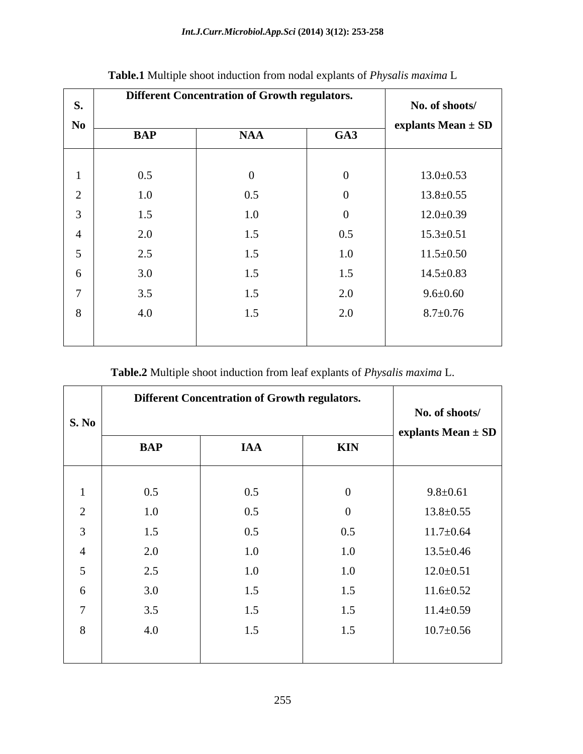| <b>S.</b> |            | <b>Different Concentration of Growth regulators.</b> |     | No. of shoots/  |
|-----------|------------|------------------------------------------------------|-----|-----------------|
| $\bf No$  |            |                                                      |     |                 |
|           | <b>BAP</b> | <b>NAA</b>                                           | GA3 |                 |
|           | 0.5        |                                                      |     | $13.0 \pm 0.53$ |
|           | 1.0        | 0.5                                                  |     | $13.8 \pm 0.55$ |
|           | 1.5        | 1.0                                                  |     | $12.0 \pm 0.39$ |
|           | 2.0        | 1.5                                                  | 0.5 | $15.3 \pm 0.51$ |
|           | 2.5        | 1.5                                                  | 1.0 | $11.5 \pm 0.50$ |
| -6        | 3.0        | 1.5                                                  | 1.5 | $14.5 \pm 0.83$ |
|           | 3.5        | 1.5                                                  | 2.0 | $9.6 \pm 0.60$  |
| 8         | 4.0        | 1.5                                                  | 2.0 | $8.7 \pm 0.76$  |
|           |            |                                                      |     |                 |

# **Table.1** Multiple shoot induction from nodal explants of *Physalis maxima* L

**Table.2** Multiple shoot induction from leaf explants of *Physalis maxima* L.

|                       | <b>Different Concentration of Growth regulators.</b> |            |            |                                                          |
|-----------------------|------------------------------------------------------|------------|------------|----------------------------------------------------------|
| $\vert$ S. No $\vert$ |                                                      |            |            | No. of shoots/<br>$\vert$ explants Mean $\pm$ SD $\vert$ |
|                       | <b>BAP</b>                                           | <b>IAA</b> | <b>KIN</b> |                                                          |
|                       |                                                      |            |            |                                                          |
|                       | 0.5                                                  | 0.5        |            | $9.8 \pm 0.61$                                           |
|                       | 1.0                                                  | 0.5        |            | $13.8 \pm 0.55$                                          |
|                       | 1.5                                                  | 0.5        | 0.5        | $11.7 \pm 0.64$                                          |
|                       | 2.0                                                  | 1.0        | 1.0        | $13.5 \pm 0.46$                                          |
|                       | 2.5                                                  | 1.0        | 1.0        | $12.0 \pm 0.51$                                          |
|                       | 3.0                                                  | 1.5        | 1.5        | $11.6 \pm 0.52$                                          |
|                       | 3.5                                                  | 1.5        | 1.5        | $11.4 \pm 0.59$                                          |
| $\Omega$              | 4.0                                                  | 1.5        | 1.5        | $10.7 \pm 0.56$                                          |
|                       |                                                      |            |            |                                                          |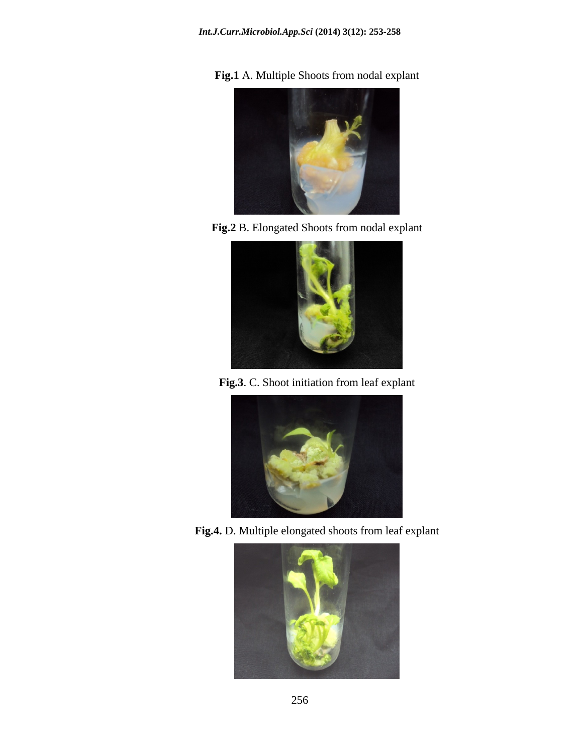

**Fig.1** A. Multiple Shoots from nodal explant

**Fig.2** B. Elongated Shoots from nodal explant



**Fig.3**. C. Shoot initiation from leaf explant



**Fig.4.** D. Multiple elongated shoots from leaf explant

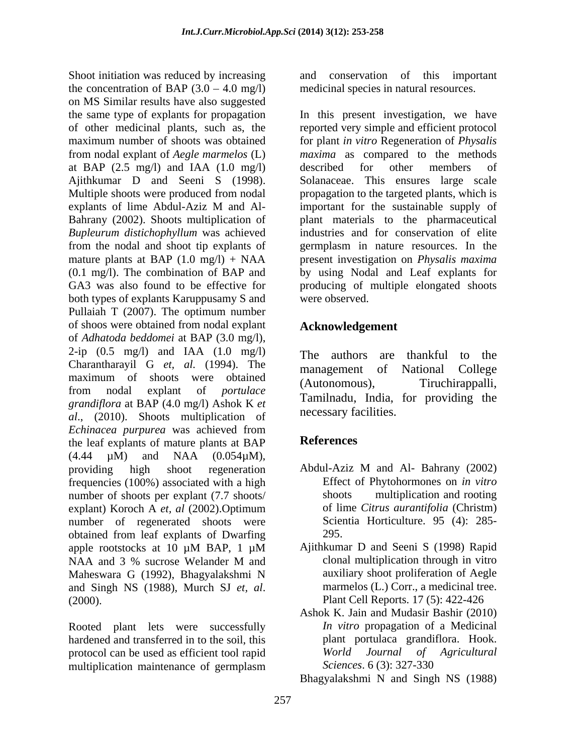Shoot initiation was reduced by increasing and conservation of this important the concentration of BAP  $(3.0 - 4.0 \text{ mg/l})$ on MS Similar results have also suggested the same type of explants for propagation In this present investigation, we have of other medicinal plants, such as, the reported very simple and efficient protocol maximum number of shoots was obtained for plant *in vitro* Regeneration of *Physalis*  from nodal explant of *Aegle marmelos* (L) at BAP (2.5 mg/l) and IAA (1.0 mg/l) Ajithkumar D and Seeni S (1998). Solanaceae. This ensures large scale Multiple shoots were produced from nodal propagation to the targeted plants, which is explants of lime Abdul-Aziz M and Al- important for the sustainable supply of Bahrany (2002). Shoots multiplication of *Bupleurum distichophyllum* was achieved industries and for conservation of elite from the nodal and shoot tip explants of germplasm in nature resources. In the mature plants at BAP (1.0 mg/l) + NAA present investigation on *Physalis maxima* (0.1 mg/l). The combination of BAP and by using Nodal and Leaf explants for GA3 was also found to be effective for producing of multiple elongated shoots both types of explants Karuppusamy S and were observed. Pullaiah T (2007). The optimum number of shoos were obtained from nodal explant of *Adhatoda beddomei* at BAP (3.0 mg/l),  $2$ -ip  $(0.5 \text{ mg/l})$  and IAA  $(1.0 \text{ mg/l})$ Charantharayil G *et, al.* (1994). The maximum of shoots were obtained ... (Autonomous), from nodal explant of *portulace grandiflora* at BAP (4.0 mg/l) Ashok K *et al*., (2010). Shoots multiplication of *Echinacea purpurea* was achieved from the leaf explants of mature plants at BAP  $(4.44 \mu M)$  and NAA  $(0.054 \mu M)$ , providing high shoot regeneration Abdul-Aziz M and Al-Bahrany (2002) frequencies (100%) associated with a high<br>
First of Phytohormones on *in vitro*<br>

number of shoots per explant (7.7 shoots/<br>
shoots multiplication and rooting number of shoots per explant (7.7 shoots/ explant) Koroch A *et, al* (2002).Optimum number of regenerated shoots were obtained from leaf explants of Dwarfing apple rootstocks at 10 μM BAP, 1 μM Ajithkumar D and Seeni S (1998) Rapid NAA and 3 % sucrose Welander M and clonal multiplication through in vitro Maheswara G (1992), Bhagyalakshmi N and Singh NS (1988), Murch SJ *et, al.* marmelos (L.) Corr., a medicinal tree.<br>(2000). Plant Cell Reports. 17 (5): 422-426

Rooted plant lets were successfully hardened and transferred in to the soil, this protocol can be used as efficient tool rapid<br>
multiplication maintenance of germplasm<br>
Sciences. 6 (3): 327-330 multiplication maintenance of germplasm Sciences. 6 (3): 327-330

medicinal species in natural resources.

*maxima* as compared to the methods described for other members of important for the sustainable supply of plant materials to the pharmaceutical were observed.

# **Acknowledgement**

The authors are thankful to the management of National College Tiruchirappalli, Tamilnadu, India, for providing the necessary facilities.

# **References**

- Abdul-Aziz M and Al- Bahrany (2002) Effect of Phytohormones on *in vitro* shoots multiplication and rooting of lime *Citrus aurantifolia* (Christm) Scientia Horticulture. 95 (4): 285- 295.
- Ajithkumar D and Seeni S (1998) Rapid clonal multiplication through in vitro auxiliary shoot proliferation of Aegle marmelos (L.) Corr., a medicinal tree. Plant Cell Reports. 17 (5): 422-426
- Ashok K. Jain and Mudasir Bashir (2010) *In vitro* propagation of a Medicinal plant portulaca grandiflora. Hook. *World Journal of Agricultural Sciences*. 6 (3): 327-330

Bhagyalakshmi N and Singh NS (1988)